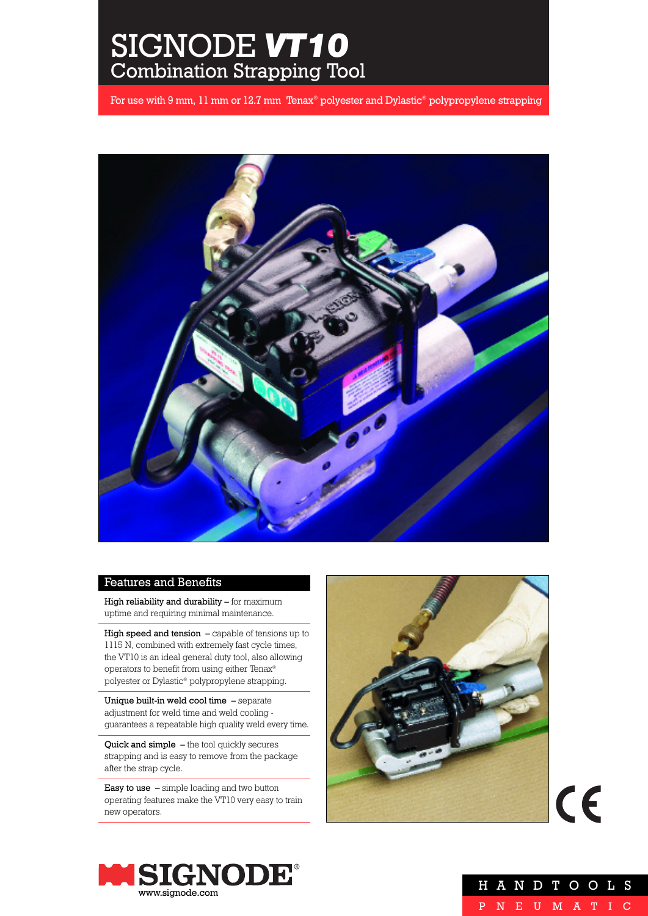# SIGNODE *VT10* Combination Strapping Tool

For use with 9 mm, 11 mm or 12.7 mm Tenax® polyester and Dylastic® polypropylene strapping



# Features and Benefits

High reliability and durability – for maximum uptime and requiring minimal maintenance.

High speed and tension – capable of tensions up to 1115 N, combined with extremely fast cycle times, the VT10 is an ideal general duty tool, also allowing operators to benefit from using either Tenax® polyester or Dylastic® polypropylene strapping.

Unique built-in weld cool time – separate adjustment for weld time and weld cooling guarantees a repeatable high quality weld every time.

Quick and simple – the tool quickly secures strapping and is easy to remove from the package after the strap cycle.

Easy to use - simple loading and two button operating features make the VT10 very easy to train new operators.



 $C\epsilon$ 



|  |  | H A N D T O O L S |  |  |  |
|--|--|-------------------|--|--|--|
|  |  | P N E U M A T I C |  |  |  |